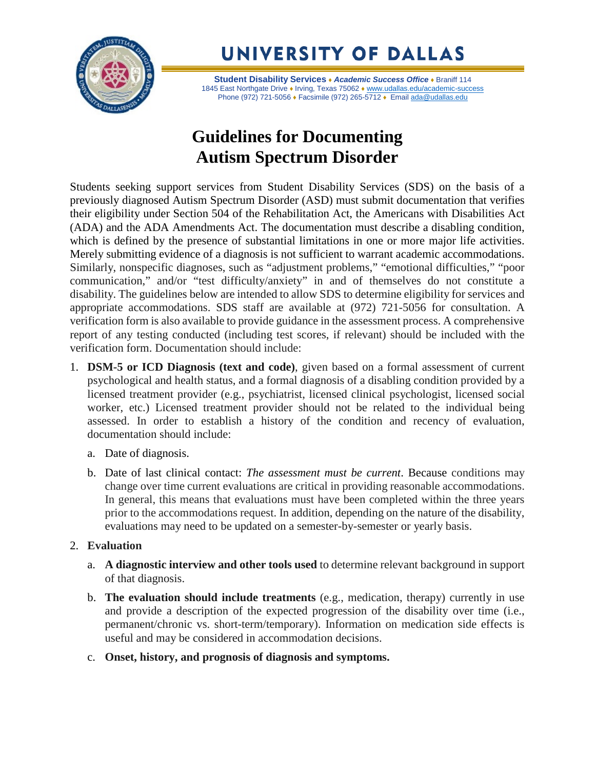

UNIVERSITY OF DALLAS

**Student Disability Services** ♦ *Academic Success Office* ♦ Braniff 114 1845 East Northgate Drive • Irving, Texas 75062 • [www.udallas.edu/academic-success](http://www.udallas.edu/academic-success) Phone (972) 721-5056 • Facsimile (972) 265-5712 • Email [ada@udallas.edu](mailto:ada@udallas.edu)

## **Guidelines for Documenting Autism Spectrum Disorder**

Students seeking support services from Student Disability Services (SDS) on the basis of a previously diagnosed Autism Spectrum Disorder (ASD) must submit documentation that verifies their eligibility under Section 504 of the Rehabilitation Act, the Americans with Disabilities Act (ADA) and the ADA Amendments Act. The documentation must describe a disabling condition, which is defined by the presence of substantial limitations in one or more major life activities. Merely submitting evidence of a diagnosis is not sufficient to warrant academic accommodations. Similarly, nonspecific diagnoses, such as "adjustment problems," "emotional difficulties," "poor communication," and/or "test difficulty/anxiety" in and of themselves do not constitute a disability. The guidelines below are intended to allow SDS to determine eligibility for services and appropriate accommodations. SDS staff are available at (972) 721-5056 for consultation. A verification form is also available to provide guidance in the assessment process. A comprehensive report of any testing conducted (including test scores, if relevant) should be included with the verification form. Documentation should include:

- 1. **DSM-5 or ICD Diagnosis (text and code)**, given based on a formal assessment of current psychological and health status, and a formal diagnosis of a disabling condition provided by a licensed treatment provider (e.g., psychiatrist, licensed clinical psychologist, licensed social worker, etc.) Licensed treatment provider should not be related to the individual being assessed. In order to establish a history of the condition and recency of evaluation, documentation should include:
	- a. Date of diagnosis.
	- b. Date of last clinical contact: *The assessment must be current*. Because conditions may change over time current evaluations are critical in providing reasonable accommodations. In general, this means that evaluations must have been completed within the three years prior to the accommodations request. In addition, depending on the nature of the disability, evaluations may need to be updated on a semester-by-semester or yearly basis.

## 2. **Evaluation**

- a. **A diagnostic interview and other tools used** to determine relevant background in support of that diagnosis.
- b. **The evaluation should include treatments** (e.g., medication, therapy) currently in use and provide a description of the expected progression of the disability over time (i.e., permanent/chronic vs. short-term/temporary). Information on medication side effects is useful and may be considered in accommodation decisions.
- c. **Onset, history, and prognosis of diagnosis and symptoms.**